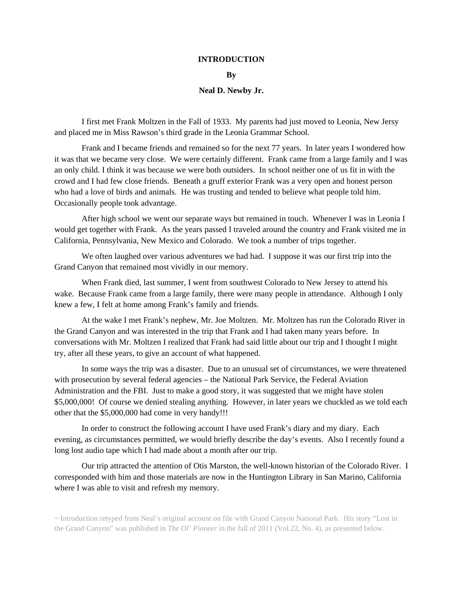### **INTRODUCTION**

### **By**

### **Neal D. Newby Jr.**

 I first met Frank Moltzen in the Fall of 1933. My parents had just moved to Leonia, New Jersy and placed me in Miss Rawson's third grade in the Leonia Grammar School.

 Frank and I became friends and remained so for the next 77 years. In later years I wondered how it was that we became very close. We were certainly different. Frank came from a large family and I was an only child. I think it was because we were both outsiders. In school neither one of us fit in with the crowd and I had few close friends. Beneath a gruff exterior Frank was a very open and honest person who had a love of birds and animals. He was trusting and tended to believe what people told him. Occasionally people took advantage.

 After high school we went our separate ways but remained in touch. Whenever I was in Leonia I would get together with Frank. As the years passed I traveled around the country and Frank visited me in California, Pennsylvania, New Mexico and Colorado. We took a number of trips together.

We often laughed over various adventures we had had. I suppose it was our first trip into the Grand Canyon that remained most vividly in our memory.

 When Frank died, last summer, I went from southwest Colorado to New Jersey to attend his wake. Because Frank came from a large family, there were many people in attendance. Although I only knew a few, I felt at home among Frank's family and friends.

 At the wake I met Frank's nephew, Mr. Joe Moltzen. Mr. Moltzen has run the Colorado River in the Grand Canyon and was interested in the trip that Frank and I had taken many years before. In conversations with Mr. Moltzen I realized that Frank had said little about our trip and I thought I might try, after all these years, to give an account of what happened.

 In some ways the trip was a disaster. Due to an unusual set of circumstances, we were threatened with prosecution by several federal agencies – the National Park Service, the Federal Aviation Administration and the FBI. Just to make a good story, it was suggested that we might have stolen \$5,000,000! Of course we denied stealing anything. However, in later years we chuckled as we told each other that the \$5,000,000 had come in very handy!!!

 In order to construct the following account I have used Frank's diary and my diary. Each evening, as circumstances permitted, we would briefly describe the day's events. Also I recently found a long lost audio tape which I had made about a month after our trip.

 Our trip attracted the attention of Otis Marston, the well-known historian of the Colorado River. I corresponded with him and those materials are now in the Huntington Library in San Marino, California where I was able to visit and refresh my memory.

~ Introduction retyped from Neal's original account on file with Grand Canyon National Park. His story "Lost in the Grand Canyon" was published in *The Ol' Pioneer* in the fall of 2011 (Vol.22, No. 4), as presented below.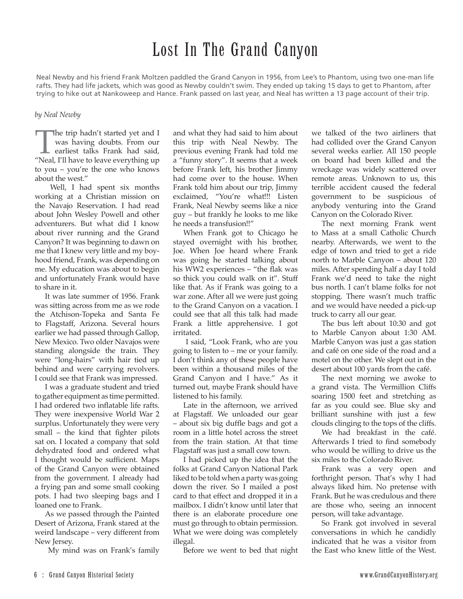# Lost In The Grand Canyon

Neal Newby and his friend Frank Moltzen paddled the Grand Canyon in 1956, from Lee's to Phantom, using two one-man life rafts. They had life jackets, which was good as Newby couldn't swim. They ended up taking 15 days to get to Phantom, after trying to hike out at Nankoweep and Hance. Frank passed on last year, and Neal has written a 13 page account of their trip.

### *by Neal Newby*

The trip hadn't started yet and I<br>was having doubts. From our<br>earliest talks Frank had said,<br>"Neal, I'll have to leave everything up was having doubts. From our earliest talks Frank had said, to you – you're the one who knows about the west."

 Well, I had spent six months working at a Christian mission on the Navajo Reservation. I had read about John Wesley Powell and other adventurers. But what did I know about river running and the Grand Canyon? It was beginning to dawn on me that I knew very little and my boyhood friend, Frank, was depending on me. My education was about to begin and unfortunately Frank would have to share in it.

It was late summer of 1956. Frank was sitting across from me as we rode the Atchison-Topeka and Santa Fe to Flagstaff, Arizona. Several hours earlier we had passed through Gallop, New Mexico. Two older Navajos were standing alongside the train. They were "long-hairs" with hair tied up behind and were carrying revolvers. I could see that Frank was impressed.

I was a graduate student and tried to gather equipment as time permitted. I had ordered two inflatable life rafts. They were inexpensive World War 2 surplus. Unfortunately they were very small – the kind that fighter pilots sat on. I located a company that sold dehydrated food and ordered what I thought would be sufficient. Maps of the Grand Canyon were obtained from the government. I already had a frying pan and some small cooking pots. I had two sleeping bags and I loaned one to Frank.

As we passed through the Painted Desert of Arizona, Frank stared at the weird landscape – very different from New Jersey.

My mind was on Frank's family

and what they had said to him about this trip with Neal Newby. The previous evening Frank had told me a "funny story". It seems that a week before Frank left, his brother Jimmy had come over to the house. When Frank told him about our trip, Jimmy exclaimed, "You're what!!! Listen Frank, Neal Newby seems like a nice guy – but frankly he looks to me like he needs a transfusion!!"

When Frank got to Chicago he stayed overnight with his brother, Joe. When Joe heard where Frank was going he started talking about his WW2 experiences – "the flak was so thick you could walk on it". Stuff like that. As if Frank was going to a war zone. After all we were just going to the Grand Canyon on a vacation. I could see that all this talk had made Frank a little apprehensive. I got irritated.

 I said, "Look Frank, who are you going to listen to – me or your family. I don't think any of these people have been within a thousand miles of the Grand Canyon and I have." As it turned out, maybe Frank should have listened to his family.

Late in the afternoon, we arrived at Flagstaff. We unloaded our gear – about six big duffle bags and got a room in a little hotel across the street from the train station. At that time Flagstaff was just a small cow town.

I had picked up the idea that the folks at Grand Canyon National Park liked to be told when a party was going down the river. So I mailed a post card to that effect and dropped it in a mailbox. I didn't know until later that there is an elaborate procedure one must go through to obtain permission. What we were doing was completely illegal.

Before we went to bed that night

we talked of the two airliners that had collided over the Grand Canyon several weeks earlier. All 150 people on board had been killed and the wreckage was widely scattered over remote areas. Unknown to us, this terrible accident caused the federal government to be suspicious of anybody venturing into the Grand Canyon on the Colorado River.

The next morning Frank went to Mass at a small Catholic Church nearby. Afterwards, we went to the edge of town and tried to get a ride north to Marble Canyon – about 120 miles. After spending half a day I told Frank we'd need to take the night bus north. I can't blame folks for not stopping. There wasn't much traffic and we would have needed a pick-up truck to carry all our gear.

The bus left about 10:30 and got to Marble Canyon about 1:30 AM. Marble Canyon was just a gas station and café on one side of the road and a motel on the other. We slept out in the desert about 100 yards from the café.

The next morning we awoke to a grand vista. The Vermillion Cliffs soaring 1500 feet and stretching as far as you could see. Blue sky and brilliant sunshine with just a few clouds clinging to the tops of the cliffs.

We had breakfast in the café. Afterwards I tried to find somebody who would be willing to drive us the six miles to the Colorado River.

Frank was a very open and forthright person. That's why I had always liked him. No pretense with Frank. But he was credulous and there are those who, seeing an innocent person, will take advantage.

So Frank got involved in several conversations in which he candidly indicated that he was a visitor from the East who knew little of the West.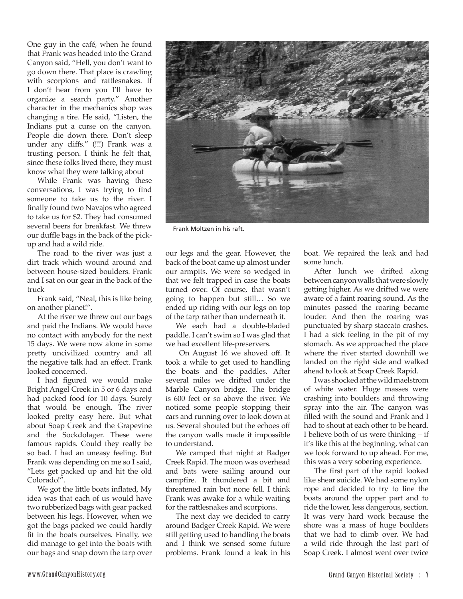One guy in the café, when he found that Frank was headed into the Grand Canyon said, "Hell, you don't want to go down there. That place is crawling with scorpions and rattlesnakes. If I don't hear from you I'll have to organize a search party." Another character in the mechanics shop was changing a tire. He said, "Listen, the Indians put a curse on the canyon. People die down there. Don't sleep under any cliffs." (!!!) Frank was a trusting person. I think he felt that, since these folks lived there, they must know what they were talking about

While Frank was having these conversations, I was trying to find someone to take us to the river. I finally found two Navajos who agreed to take us for \$2. They had consumed several beers for breakfast. We threw our duffle bags in the back of the pickup and had a wild ride.

The road to the river was just a dirt track which wound around and between house-sized boulders. Frank and I sat on our gear in the back of the truck

Frank said, "Neal, this is like being on another planet!".

At the river we threw out our bags and paid the Indians. We would have no contact with anybody for the next 15 days. We were now alone in some pretty uncivilized country and all the negative talk had an effect. Frank looked concerned.

I had figured we would make Bright Angel Creek in 5 or 6 days and had packed food for 10 days. Surely that would be enough. The river looked pretty easy here. But what about Soap Creek and the Grapevine and the Sockdolager. These were famous rapids. Could they really be so bad. I had an uneasy feeling. But Frank was depending on me so I said, "Lets get packed up and hit the old Colorado!".

We got the little boats inflated, My idea was that each of us would have two rubberized bags with gear packed between his legs. However, when we got the bags packed we could hardly fit in the boats ourselves. Finally, we did manage to get into the boats with our bags and snap down the tarp over



Frank Moltzen in his raft.

our legs and the gear. However, the back of the boat came up almost under our armpits. We were so wedged in that we felt trapped in case the boats turned over. Of course, that wasn't going to happen but still… So we ended up riding with our legs on top of the tarp rather than underneath it.

We each had a double-bladed paddle. I can't swim so I was glad that we had excellent life-preservers.

 On August 16 we shoved off. It took a while to get used to handling the boats and the paddles. After several miles we drifted under the Marble Canyon bridge. The bridge is 600 feet or so above the river. We noticed some people stopping their cars and running over to look down at us. Several shouted but the echoes off the canyon walls made it impossible to understand.

We camped that night at Badger Creek Rapid. The moon was overhead and bats were sailing around our campfire. It thundered a bit and threatened rain but none fell. I think Frank was awake for a while waiting for the rattlesnakes and scorpions.

The next day we decided to carry around Badger Creek Rapid. We were still getting used to handling the boats and I think we sensed some future problems. Frank found a leak in his boat. We repaired the leak and had some lunch.

After lunch we drifted along between canyon walls that were slowly getting higher. As we drifted we were aware of a faint roaring sound. As the minutes passed the roaring became louder. And then the roaring was punctuated by sharp staccato crashes. I had a sick feeling in the pit of my stomach. As we approached the place where the river started downhill we landed on the right side and walked ahead to look at Soap Creek Rapid.

I was shocked at the wild maelstrom of white water. Huge masses were crashing into boulders and throwing spray into the air. The canyon was filled with the sound and Frank and I had to shout at each other to be heard. I believe both of us were thinking – if it's like this at the beginning, what can we look forward to up ahead. For me, this was a very sobering experience.

The first part of the rapid looked like shear suicide. We had some nylon rope and decided to try to line the boats around the upper part and to ride the lower, less dangerous, section. It was very hard work because the shore was a mass of huge boulders that we had to climb over. We had a wild ride through the last part of Soap Creek. I almost went over twice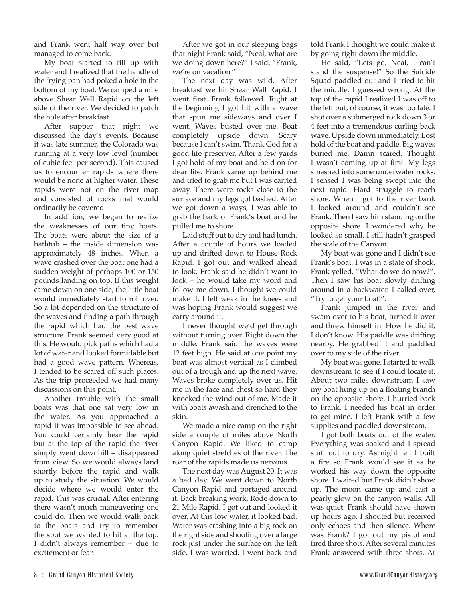and Frank went half way over but managed to come back.

My boat started to fill up with water and I realized that the handle of the frying pan had poked a hole in the bottom of my boat. We camped a mile above Shear Wall Rapid on the left side of the river. We decided to patch the hole after breakfast

After supper that night we discussed the day's events. Because it was late summer, the Colorado was running at a very low level (number of cubic feet per second). This caused us to encounter rapids where there would be none at higher water. These rapids were not on the river map and consisted of rocks that would ordinarily be covered.

In addition, we began to realize the weaknesses of our tiny boats. The boats were about the size of a bathtub – the inside dimension was approximately 48 inches. When a wave crashed over the boat one had a sudden weight of perhaps 100 or 150 pounds landing on top. If this weight came down on one side, the little boat would immediately start to roll over. So a lot depended on the structure of the waves and finding a path through the rapid which had the best wave structure. Frank seemed very good at this. He would pick paths which had a lot of water and looked formidable but had a good wave pattern. Whereas, I tended to be scared off such places. As the trip proceeded we had many discussions on this point.

Another trouble with the small boats was that one sat very low in the water. As you approached a rapid it was impossible to see ahead. You could certainly hear the rapid but at the top of the rapid the river simply went downhill – disappeared from view. So we would always land shortly before the rapid and walk up to study the situation. We would decide where we would enter the rapid. This was crucial. After entering there wasn't much maneuvering one could do. Then we would walk back to the boats and try to remember the spot we wanted to hit at the top. I didn't always remember – due to excitement or fear.

After we got in our sleeping bags that night Frank said, "Neal, what are we doing down here?" I said, "Frank, we're on vacation."

The next day was wild. After breakfast we hit Shear Wall Rapid. I went first. Frank followed. Right at the beginning I got hit with a wave that spun me sideways and over I went. Waves busted over me. Boat completely upside down. Scary because I can't swim. Thank God for a good life preserver. After a few yards I got hold of my boat and held on for dear life. Frank came up behind me and tried to grab me but I was carried away. There were rocks close to the surface and my legs got bashed. After we got down a ways, I was able to grab the back of Frank's boat and he pulled me to shore.

Laid stuff out to dry and had lunch. After a couple of hours we loaded up and drifted down to House Rock Rapid. I got out and walked ahead to look. Frank said he didn't want to look – he would take my word and follow me down. I thought we could make it. I felt weak in the knees and was hoping Frank would suggest we carry around it.

I never thought we'd get through without turning over. Right down the middle. Frank said the waves were 12 feet high. He said at one point my boat was almost vertical as I climbed out of a trough and up the next wave. Waves broke completely over us. Hit me in the face and chest so hard they knocked the wind out of me. Made it with boats awash and drenched to the skin.

We made a nice camp on the right side a couple of miles above North Canyon Rapid. We liked to camp along quiet stretches of the river. The roar of the rapids made us nervous.

The next day was August 20. It was a bad day. We went down to North Canyon Rapid and portaged around it. Back breaking work. Rode down to 21 Mile Rapid. I got out and looked it over. At this low water, it looked bad. Water was crashing into a big rock on the right side and shooting over a large rock just under the surface on the left side. I was worried. I went back and

told Frank I thought we could make it by going right down the middle.

He said, "Lets go, Neal, I can't stand the suspense!" So the Suicide Squad paddled out and I tried to hit the middle. I guessed wrong. At the top of the rapid I realized I was off to the left but, of course, it was too late. I shot over a submerged rock down 3 or 4 feet into a tremendous curling back wave. Upside down immediately. Lost hold of the boat and paddle. Big waves buried me. Damn scared. Thought I wasn't coming up at first. My legs smashed into some underwater rocks. I sensed I was being swept into the next rapid. Hard struggle to reach shore. When I got to the river bank I looked around and couldn't see Frank. Then I saw him standing on the opposite shore. I wondered why he looked so small. I still hadn't grasped the scale of the Canyon.

My boat was gone and I didn't see Frank's boat. I was in a state of shock. Frank yelled, "What do we do now?". Then I saw his boat slowly drifting around in a backwater. I called over, "Try to get your boat!".

Frank jumped in the river and swam over to his boat, turned it over and threw himself in. How he did it, I don't know. His paddle was drifting nearby. He grabbed it and paddled over to my side of the river.

My boat was gone. I started to walk downstream to see if I could locate it. About two miles downstream I saw my boat hung up on a floating branch on the opposite shore. I hurried back to Frank. I needed his boat in order to get mine. I left Frank with a few supplies and paddled downstream.

I got both boats out of the water. Everything was soaked and I spread stuff out to dry. As night fell I built a fire so Frank would see it as he worked his way down the opposite shore. I waited but Frank didn't show up. The moon came up and cast a pearly glow on the canyon walls. All was quiet. Frank should have shown up hours ago. I shouted but received only echoes and then silence. Where was Frank? I got out my pistol and fired three shots. After several minutes Frank answered with three shots. At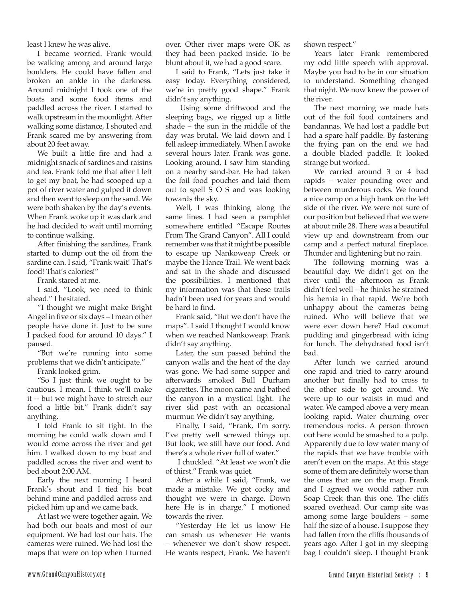least I knew he was alive.

I became worried. Frank would be walking among and around large boulders. He could have fallen and broken an ankle in the darkness. Around midnight I took one of the boats and some food items and paddled across the river. I started to walk upstream in the moonlight. After walking some distance, I shouted and Frank scared me by answering from about 20 feet away.

We built a little fire and had a midnight snack of sardines and raisins and tea. Frank told me that after I left to get my boat, he had scooped up a pot of river water and gulped it down and then went to sleep on the sand. We were both shaken by the day's events. When Frank woke up it was dark and he had decided to wait until morning to continue walking.

After finishing the sardines, Frank started to dump out the oil from the sardine can. I said, "Frank wait! That's food! That's calories!"

Frank stared at me.

I said, "Look, we need to think ahead." I hesitated.

"I thought we might make Bright Angel in five or six days – I mean other people have done it. Just to be sure I packed food for around 10 days." I paused.

"But we're running into some problems that we didn't anticipate."

Frank looked grim.

"So I just think we ought to be cautious. I mean, I think we'll make it -- but we might have to stretch our food a little bit." Frank didn't say anything.

I told Frank to sit tight. In the morning he could walk down and I would come across the river and get him. I walked down to my boat and paddled across the river and went to bed about 2:00 AM.

Early the next morning I heard Frank's shout and I tied his boat behind mine and paddled across and picked him up and we came back.

At last we were together again. We had both our boats and most of our equipment. We had lost our hats. The cameras were ruined. We had lost the maps that were on top when I turned over. Other river maps were OK as they had been packed inside. To be blunt about it, we had a good scare.

I said to Frank, "Lets just take it easy today. Everything considered, we're in pretty good shape." Frank didn't say anything.

 Using some driftwood and the sleeping bags, we rigged up a little shade – the sun in the middle of the day was brutal. We laid down and I fell asleep immediately. When I awoke several hours later. Frank was gone. Looking around, I saw him standing on a nearby sand-bar. He had taken the foil food pouches and laid them out to spell S O S and was looking towards the sky.

Well, I was thinking along the same lines. I had seen a pamphlet somewhere entitled "Escape Routes From The Grand Canyon". All I could remember was that it might be possible to escape up Nankoweap Creek or maybe the Hance Trail. We went back and sat in the shade and discussed the possibilities. I mentioned that my information was that these trails hadn't been used for years and would be hard to find.

Frank said, "But we don't have the maps". I said I thought I would know when we reached Nankoweap. Frank didn't say anything.

Later, the sun passed behind the canyon walls and the heat of the day was gone. We had some supper and afterwards smoked Bull Durham cigarettes. The moon came and bathed the canyon in a mystical light. The river slid past with an occasional murmur. We didn't say anything.

Finally, I said, "Frank, I'm sorry. I've pretty well screwed things up. But look, we still have our food. And there's a whole river full of water."

 I chuckled. "At least we won't die of thirst." Frank was quiet.

After a while I said, "Frank, we made a mistake. We got cocky and thought we were in charge. Down here He is in charge." I motioned towards the river.

"Yesterday He let us know He can smash us whenever He wants – whenever we don't show respect. He wants respect, Frank. We haven't shown respect."

Years later Frank remembered my odd little speech with approval. Maybe you had to be in our situation to understand. Something changed that night. We now knew the power of the river.

The next morning we made hats out of the foil food containers and bandannas. We had lost a paddle but had a spare half paddle. By fastening the frying pan on the end we had a double bladed paddle. It looked strange but worked.

We carried around 3 or 4 bad rapids – water pounding over and between murderous rocks. We found a nice camp on a high bank on the left side of the river. We were not sure of our position but believed that we were at about mile 28. There was a beautiful view up and downstream from our camp and a perfect natural fireplace. Thunder and lightening but no rain.

The following morning was a beautiful day. We didn't get on the river until the afternoon as Frank didn't feel well – he thinks he strained his hernia in that rapid. We're both unhappy about the cameras being ruined. Who will believe that we were ever down here? Had coconut pudding and gingerbread with icing for lunch. The dehydrated food isn't bad.

After lunch we carried around one rapid and tried to carry around another but finally had to cross to the other side to get around. We were up to our waists in mud and water. We camped above a very mean looking rapid. Water churning over tremendous rocks. A person thrown out here would be smashed to a pulp. Apparently due to low water many of the rapids that we have trouble with aren't even on the maps. At this stage some of them are definitely worse than the ones that are on the map. Frank and I agreed we would rather run Soap Creek than this one. The cliffs soared overhead. Our camp site was among some large boulders – some half the size of a house. I suppose they had fallen from the cliffs thousands of years ago. After I got in my sleeping bag I couldn't sleep. I thought Frank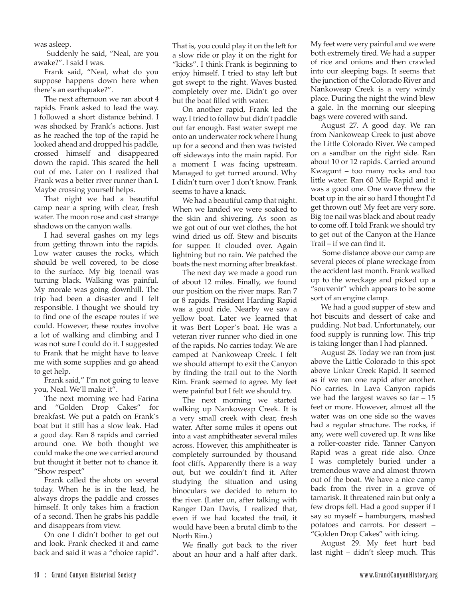was asleep.

 Suddenly he said, "Neal, are you awake?". I said I was.

Frank said, "Neal, what do you suppose happens down here when there's an earthquake?".

The next afternoon we ran about 4 rapids. Frank asked to lead the way. I followed a short distance behind. I was shocked by Frank's actions. Just as he reached the top of the rapid he looked ahead and dropped his paddle, crossed himself and disappeared down the rapid. This scared the hell out of me. Later on I realized that Frank was a better river runner than I. Maybe crossing yourself helps.

That night we had a beautiful camp near a spring with clear, fresh water. The moon rose and cast strange shadows on the canyon walls.

I had several gashes on my legs from getting thrown into the rapids. Low water causes the rocks, which should be well covered, to be close to the surface. My big toenail was turning black. Walking was painful. My morale was going downhill. The trip had been a disaster and I felt responsible. I thought we should try to find one of the escape routes if we could. However, these routes involve a lot of walking and climbing and I was not sure I could do it. I suggested to Frank that he might have to leave me with some supplies and go ahead to get help.

Frank said," I'm not going to leave you, Neal. We'll make it".

The next morning we had Farina and "Golden Drop Cakes" for breakfast. We put a patch on Frank's boat but it still has a slow leak. Had a good day. Ran 8 rapids and carried around one. We both thought we could make the one we carried around but thought it better not to chance it. "Show respect"

Frank called the shots on several today. When he is in the lead, he always drops the paddle and crosses himself. It only takes him a fraction of a second. Then he grabs his paddle and disappears from view.

On one I didn't bother to get out and look. Frank checked it and came back and said it was a "choice rapid".

That is, you could play it on the left for a slow ride or play it on the right for "kicks". I think Frank is beginning to enjoy himself. I tried to stay left but got swept to the right. Waves busted completely over me. Didn't go over but the boat filled with water.

On another rapid, Frank led the way. I tried to follow but didn't paddle out far enough. Fast water swept me onto an underwater rock where I hung up for a second and then was twisted off sideways into the main rapid. For a moment I was facing upstream. Managed to get turned around. Why I didn't turn over I don't know. Frank seems to have a knack.

We had a beautiful camp that night. When we landed we were soaked to the skin and shivering. As soon as we got out of our wet clothes, the hot wind dried us off. Stew and biscuits for supper. It clouded over. Again lightning but no rain. We patched the boats the next morning after breakfast.

The next day we made a good run of about 12 miles. Finally, we found our position on the river maps. Ran 7 or 8 rapids. President Harding Rapid was a good ride. Nearby we saw a yellow boat. Later we learned that it was Bert Loper's boat. He was a veteran river runner who died in one of the rapids. No carries today. We are camped at Nankoweap Creek. I felt we should attempt to exit the Canyon by finding the trail out to the North Rim. Frank seemed to agree. My feet were painful but I felt we should try.

The next morning we started walking up Nankoweap Creek. It is a very small creek with clear, fresh water. After some miles it opens out into a vast amphitheater several miles across. However, this amphitheater is completely surrounded by thousand foot cliffs. Apparently there is a way out, but we couldn't find it. After studying the situation and using binoculars we decided to return to the river. (Later on, after talking with Ranger Dan Davis, I realized that, even if we had located the trail, it would have been a brutal climb to the North Rim.)

We finally got back to the river about an hour and a half after dark.

My feet were very painful and we were both extremely tired. We had a supper of rice and onions and then crawled into our sleeping bags. It seems that the junction of the Colorado River and Nankoweap Creek is a very windy place. During the night the wind blew a gale. In the morning our sleeping bags were covered with sand.

August 27. A good day. We ran from Nankoweap Creek to just above the Little Colorado River. We camped on a sandbar on the right side. Ran about 10 or 12 rapids. Carried around Kwagunt – too many rocks and too little water. Ran 60 Mile Rapid and it was a good one. One wave threw the boat up in the air so hard I thought I'd get thrown out! My feet are very sore. Big toe nail was black and about ready to come off. I told Frank we should try to get out of the Canyon at the Hance Trail – if we can find it.

 Some distance above our camp are several pieces of plane wreckage from the accident last month. Frank walked up to the wreckage and picked up a "souvenir" which appears to be some sort of an engine clamp.

We had a good supper of stew and hot biscuits and dessert of cake and pudding. Not bad. Unfortunately, our food supply is running low. This trip is taking longer than I had planned.

August 28. Today we ran from just above the Little Colorado to this spot above Unkar Creek Rapid. It seemed as if we ran one rapid after another. No carries. In Lava Canyon rapids we had the largest waves so  $far - 15$ feet or more. However, almost all the water was on one side so the waves had a regular structure. The rocks, if any, were well covered up. It was like a roller-coaster ride. Tanner Canyon Rapid was a great ride also. Once I was completely buried under a tremendous wave and almost thrown out of the boat. We have a nice camp back from the river in a grove of tamarisk. It threatened rain but only a few drops fell. Had a good supper if I say so myself – hamburgers, mashed potatoes and carrots. For dessert – "Golden Drop Cakes" with icing.

August 29. My feet hurt bad last night – didn't sleep much. This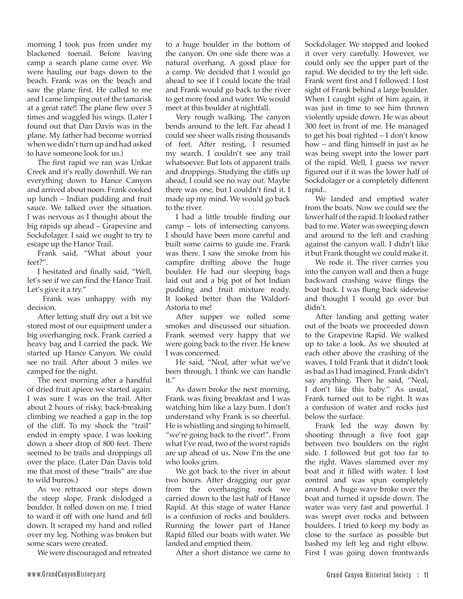morning I took pus from under my blackened toenail. Before leaving camp a search plane came over. We were hauling our bags down to the beach. Frank was on the beach and saw the plane first. He called to me and I came limping out of the tamarisk at a great rate!! The plane flew over 3 times and waggled his wings. (Later I found out that Dan Davis was in the plane. My father had become worried when we didn't turn up and had asked to have someone look for us.)

The first rapid we ran was Unkar Creek and it's really downhill. We ran everything down to Hance Canyon and arrived about noon. Frank cooked up lunch – Indian pudding and fruit sauce. We talked over the situation. I was nervous as I thought about the big rapids up ahead – Grapevine and Sockdolager. I said we ought to try to escape up the Hance Trail.

Frank said, "What about your feet?".

I hesitated and finally said, "Well, let's see if we can find the Hance Trail. Let's give it a try."

 Frank was unhappy with my decision.

After letting stuff dry out a bit we stored most of our equipment under a big overhanging rock. Frank carried a heavy bag and I carried the pack. We started up Hance Canyon. We could see no trail. After about 3 miles we camped for the night.

The next morning after a handful of dried fruit apiece we started again. I was sure I was on the trail. After about 2 hours of risky, back-breaking climbing we reached a gap in the top of the cliff. To my shock the "trail" ended in empty space. I was looking down a sheer drop of 800 feet. There seemed to be trails and droppings all over the place. (Later Dan Davis told me that most of these "trails" are due to wild burros.)

As we retraced our steps down the steep slope, Frank dislodged a boulder. It rolled down on me. I tried to ward it off with one hand and fell down. It scraped my hand and rolled over my leg. Nothing was broken but some scars were created.

We were discouraged and retreated

to a huge boulder in the bottom of the canyon. On one side there was a natural overhang. A good place for a camp. We decided that I would go ahead to see if I could locate the trail and Frank would go back to the river to get more food and water. We would meet at this boulder at nightfall.

Very rough walking. The canyon bends around to the left. Far ahead I could see sheer walls rising thousands of feet. After resting, I resumed my search. I couldn't see any trail whatsoever. But lots of apparent trails and droppings. Studying the cliffs up ahead, I could see no way out. Maybe there was one, but I couldn't find it. I made up my mind. We would go back to the river.

I had a little trouble finding our camp – lots of intersecting canyons. I should have been more careful and built some cairns to guide me. Frank was there. I saw the smoke from his campfire drifting above the huge boulder. He had our sleeping bags laid out and a big pot of hot Indian pudding and fruit mixture ready. It looked better than the Waldorf-Astoria to me!

After supper we rolled some smokes and discussed our situation. Frank seemed very happy that we were going back to the river. He knew I was concerned.

He said, "Neal, after what we've been through, I think we can handle it."

As dawn broke the next morning, Frank was fixing breakfast and I was watching him like a lazy bum. I don't understand why Frank is so cheerful. He is whistling and singing to himself, "we're going back to the river!". From what I've read, two of the worst rapids are up ahead of us. Now I'm the one who looks grim.

We got back to the river in about two hours. After dragging our gear from the overhanging rock we carried down to the last half of Hance Rapid. At this stage of water Hance is a confusion of rocks and boulders. Running the lower part of Hance Rapid filled our boats with water. We landed and emptied them.

After a short distance we came to

Sockdolager. We stopped and looked it over very carefully. However, we could only see the upper part of the rapid. We decided to try the left side. Frank went first and I followed. I lost sight of Frank behind a large boulder. When I caught sight of him again, it was just in time to see him thrown violently upside down. He was about 300 feet in front of me. He managed to get his boat righted – I don't know how – and fling himself in just as he was being swept into the lower part of the rapid. Well, I guess we never figured out if it was the lower half of Sockdolager or a completely different rapid..

We landed and emptied water from the boats. Now we could see the lower half of the rapid. It looked rather bad to me. Water was sweeping down and around to the left and crashing against the canyon wall. I didn't like it but Frank thought we could make it.

We rode it. The river carries you into the canyon wall and then a huge backward crashing wave flings the boat back. I was flung back sidewise and thought I would go over but didn't.

After landing and getting water out of the boats we proceeded down to the Grapevine Rapid. We walked up to take a look. As we shouted at each other above the crashing of the waves, I told Frank that it didn't look as bad as I had imagined. Frank didn't say anything. Then he said, "Neal, I don't like this baby." As usual, Frank turned out to be right. It was a confusion of water and rocks just below the surface.

Frank led the way down by shooting through a five foot gap between two boulders on the right side. I followed but got too far to the right. Waves slammed over my boat and it filled with water. I lost control and was spun completely around. A huge wave broke over the boat and turned it upside down. The water was very fast and powerful. I was swept over rocks and between boulders. I tried to keep my body as close to the surface as possible but bashed my left leg and right elbow. First I was going down frontwards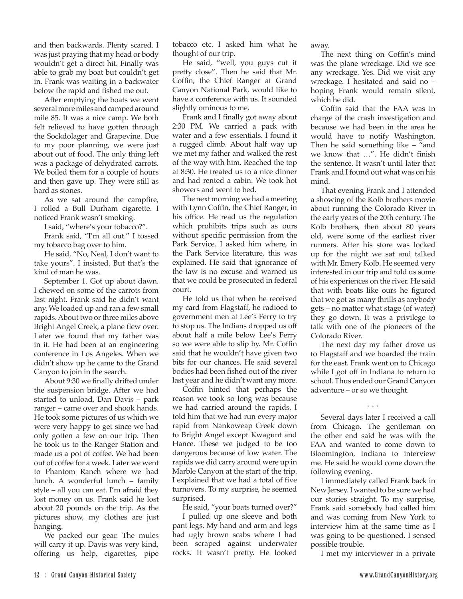and then backwards. Plenty scared. I was just praying that my head or body wouldn't get a direct hit. Finally was able to grab my boat but couldn't get in. Frank was waiting in a backwater below the rapid and fished me out.

After emptying the boats we went several more miles and camped around mile 85. It was a nice camp. We both felt relieved to have gotten through the Sockdolager and Grapevine. Due to my poor planning, we were just about out of food. The only thing left was a package of dehydrated carrots. We boiled them for a couple of hours and then gave up. They were still as hard as stones.

As we sat around the campfire, I rolled a Bull Durham cigarette. I noticed Frank wasn't smoking.

I said, "where's your tobacco?".

Frank said, "I'm all out." I tossed my tobacco bag over to him.

He said, "No, Neal, I don't want to take yours". I insisted. But that's the kind of man he was.

September 1. Got up about dawn. I chewed on some of the carrots from last night. Frank said he didn't want any. We loaded up and ran a few small rapids. About two or three miles above Bright Angel Creek, a plane flew over. Later we found that my father was in it. He had been at an engineering conference in Los Angeles. When we didn't show up he came to the Grand Canyon to join in the search.

About 9:30 we finally drifted under the suspension bridge. After we had started to unload, Dan Davis – park ranger – came over and shook hands. He took some pictures of us which we were very happy to get since we had only gotten a few on our trip. Then he took us to the Ranger Station and made us a pot of coffee. We had been out of coffee for a week. Later we went to Phantom Ranch where we had lunch. A wonderful lunch – family style – all you can eat. I'm afraid they lost money on us. Frank said he lost about 20 pounds on the trip. As the pictures show, my clothes are just hanging.

We packed our gear. The mules will carry it up. Davis was very kind, offering us help, cigarettes, pipe

tobacco etc. I asked him what he thought of our trip.

He said, "well, you guys cut it pretty close". Then he said that Mr. Coffin, the Chief Ranger at Grand Canyon National Park, would like to have a conference with us. It sounded slightly ominous to me.

Frank and I finally got away about 2:30 PM. We carried a pack with water and a few essentials. I found it a rugged climb. About half way up we met my father and walked the rest of the way with him. Reached the top at 8:30. He treated us to a nice dinner and had rented a cabin. We took hot showers and went to bed.

The next morning we had a meeting with Lynn Coffin, the Chief Ranger, in his office. He read us the regulation which prohibits trips such as ours without specific permission from the Park Service. I asked him where, in the Park Service literature, this was explained. He said that ignorance of the law is no excuse and warned us that we could be prosecuted in federal court.

He told us that when he received my card from Flagstaff, he radioed to government men at Lee's Ferry to try to stop us. The Indians dropped us off about half a mile below Lee's Ferry so we were able to slip by. Mr. Coffin said that he wouldn't have given two bits for our chances. He said several bodies had been fished out of the river last year and he didn't want any more.

Coffin hinted that perhaps the reason we took so long was because we had carried around the rapids. I told him that we had run every major rapid from Nankoweap Creek down to Bright Angel except Kwagunt and Hance. These we judged to be too dangerous because of low water. The rapids we did carry around were up in Marble Canyon at the start of the trip. I explained that we had a total of five turnovers. To my surprise, he seemed surprised.

He said, "your boats turned over?"

I pulled up one sleeve and both pant legs. My hand and arm and legs had ugly brown scabs where I had been scraped against underwater rocks. It wasn't pretty. He looked away.

The next thing on Coffin's mind was the plane wreckage. Did we see any wreckage. Yes. Did we visit any wreckage. I hesitated and said no – hoping Frank would remain silent, which he did.

Coffin said that the FAA was in charge of the crash investigation and because we had been in the area he would have to notify Washington. Then he said something like – "and we know that …". He didn't finish the sentence. It wasn't until later that Frank and I found out what was on his mind.

That evening Frank and I attended a showing of the Kolb brothers movie about running the Colorado River in the early years of the 20th century. The Kolb brothers, then about 80 years old, were some of the earliest river runners. After his store was locked up for the night we sat and talked with Mr. Emery Kolb. He seemed very interested in our trip and told us some of his experiences on the river. He said that with boats like ours he figured that we got as many thrills as anybody gets – no matter what stage (of water) they go down. It was a privilege to talk with one of the pioneers of the Colorado River.

The next day my father drove us to Flagstaff and we boarded the train for the east. Frank went on to Chicago while I got off in Indiana to return to school. Thus ended our Grand Canyon adventure – or so we thought.

\* \* \* Several days later I received a call from Chicago. The gentleman on the other end said he was with the FAA and wanted to come down to Bloomington, Indiana to interview me. He said he would come down the following evening.

I immediately called Frank back in New Jersey. I wanted to be sure we had our stories straight. To my surprise, Frank said somebody had called him and was coming from New York to interview him at the same time as I was going to be questioned. I sensed possible trouble.

I met my interviewer in a private